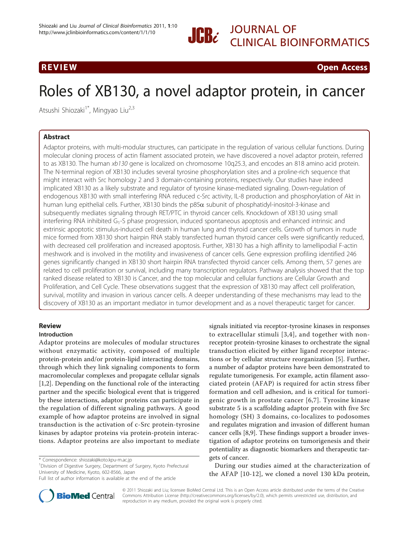CLINICAL BIOINFORMATICS

R EVI EW OPEN ACCESS OF THE EW OPEN ACCESS OF THE EWO ARE ALL THE EWO ARE ALL THE EWO ARE ALL THE EWO ARE ALL <br>The experimental contract of the experimental contract of the experimental contract of the experimental contra

# Roles of XB130, a novel adaptor protein, in cancer

Atsushi Shiozaki<sup>1\*</sup>, Mingyao Liu<sup>2,3</sup>

# **Abstract**

Abstract Adaptor proteins, with multi-modular structures, can participate in the regulation of various cellular functions. During molecular cloning process of actin filament associated protein, we have discovered a novel adaptor protein, referred to as XB130. The human xb130 gene is localized on chromosome 10q25.3, and encodes an 818 amino acid protein. The N-terminal region of XB130 includes several tyrosine phosphorylation sites and a proline-rich sequence that might interact with Src homology 2 and 3 domain-containing proteins, respectively. Our studies have indeed implicated XB130 as a likely substrate and regulator of tyrosine kinase-mediated signaling. Down-regulation of endogenous XB130 with small interfering RNA reduced c-Src activity, IL-8 production and phosphorylation of Akt in human lung epithelial cells. Further, XB130 binds the  $p85\alpha$  subunit of phosphatidyl-inositol-3-kinase and subsequently mediates signaling through RET/PTC in thyroid cancer cells. Knockdown of XB130 using small interfering RNA inhibited G1-S phase progression, induced spontaneous apoptosis and enhanced intrinsic and extrinsic apoptotic stimulus-induced cell death in human lung and thyroid cancer cells. Growth of tumors in nude mice formed from XB130 short hairpin RNA stably transfected human thyroid cancer cells were significantly reduced, with decreased cell proliferation and increased apoptosis. Further, XB130 has a high affinity to lamellipodial F-actin meshwork and is involved in the motility and invasiveness of cancer cells. Gene expression profiling identified 246 genes significantly changed in XB130 short hairpin RNA transfected thyroid cancer cells. Among them, 57 genes are related to cell proliferation or survival, including many transcription regulators. Pathway analysis showed that the top ranked disease related to XB130 is Cancer, and the top molecular and cellular functions are Cellular Growth and Proliferation, and Cell Cycle. These observations suggest that the expression of XB130 may affect cell proliferation, survival, motility and invasion in various cancer cells. A deeper understanding of these mechanisms may lead to the discovery of XB130 as an important mediator in tumor development and as a novel therapeutic target for cancer.

# **Review**

# Introduction

Adaptor proteins are molecules of modular structures without enzymatic activity, composed of multiple protein-protein and/or protein-lipid interacting domains, through which they link signaling components to form macromolecular complexes and propagate cellular signals [[1,2\]](#page-4-0). Depending on the functional role of the interacting partner and the specific biological event that is triggered by these interactions, adaptor proteins can participate in the regulation of different signaling pathways. A good example of how adaptor proteins are involved in signal transduction is the activation of c-Src protein-tyrosine kinases by adaptor proteins via protein-protein interactions. Adaptor proteins are also important to mediate

<sup>1</sup> Division of Digestive Surgery, Department of Surgery, Kyoto Prefectural University of Medicine, Kyoto, 602-8566, Japan



During our studies aimed at the characterization of the AFAP [\[10-12](#page-4-0)], we cloned a novel 130 kDa protein,



© 2011 Shiozaki and Liu; licensee BioMed Central Ltd. This is an Open Access article distributed under the terms of the Creative Commons Attribution License [\(http://creativecommons.org/licenses/by/2.0](http://creativecommons.org/licenses/by/2.0)), which permits unrestricted use, distribution, and reproduction in any medium, provided the original work is properly cited.

<sup>\*</sup> Correspondence: [shiozaki@koto.kpu-m.ac.jp](mailto:shiozaki@koto.kpu-m.ac.jp)

Full list of author information is available at the end of the article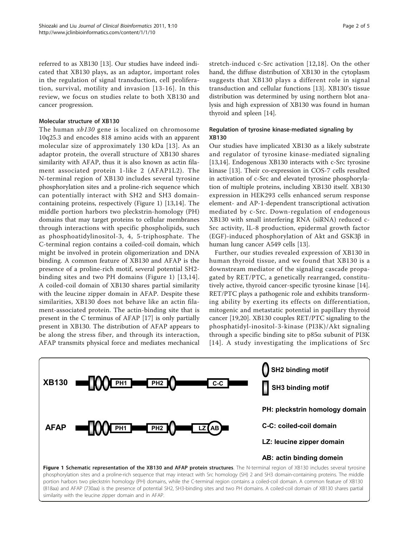referred to as XB130 [\[13\]](#page-4-0). Our studies have indeed indicated that XB130 plays, as an adaptor, important roles in the regulation of signal transduction, cell proliferation, survival, motility and invasion [[13-16](#page-4-0)]. In this review, we focus on studies relate to both XB130 and cancer progression.

## Molecular structure of XB130

The human xb130 gene is localized on chromosome 10q25.3 and encodes 818 amino acids with an apparent molecular size of approximately 130 kDa [\[13\]](#page-4-0). As an adaptor protein, the overall structure of XB130 shares similarity with AFAP, thus it is also known as actin filament associated protein 1-like 2 (AFAP1L2). The N-terminal region of XB130 includes several tyrosine phosphorylation sites and a proline-rich sequence which can potentially interact with SH2 and SH3 domaincontaining proteins, respectively (Figure 1) [\[13,14](#page-4-0)]. The middle portion harbors two pleckstrin-homology (PH) domains that may target proteins to cellular membranes through interactions with specific phospholipids, such as phosphoatidylinositol-3, 4, 5-triphosphate. The C-terminal region contains a coiled-coil domain, which might be involved in protein oligomerization and DNA binding. A common feature of XB130 and AFAP is the presence of a proline-rich motif, several potential SH2 binding sites and two PH domains (Figure 1) [[13](#page-4-0),[14\]](#page-4-0). A coiled-coil domain of XB130 shares partial similarity with the leucine zipper domain in AFAP. Despite these similarities, XB130 does not behave like an actin filament-associated protein. The actin-binding site that is present in the C terminus of AFAP [\[17](#page-4-0)] is only partially present in XB130. The distribution of AFAP appears to be along the stress fiber, and through its interaction, AFAP transmits physical force and mediates mechanical stretch-induced c-Src activation [[12](#page-4-0),[18\]](#page-4-0). On the other hand, the diffuse distribution of XB130 in the cytoplasm suggests that XB130 plays a different role in signal transduction and cellular functions [[13](#page-4-0)]. XB130's tissue distribution was determined by using northern blot analysis and high expression of XB130 was found in human thyroid and spleen [\[14](#page-4-0)].

# Regulation of tyrosine kinase-mediated signaling by XB130

Our studies have implicated XB130 as a likely substrate and regulator of tyrosine kinase-mediated signaling [[13,14\]](#page-4-0). Endogenous XB130 interacts with c-Src tyrosine kinase [[13\]](#page-4-0). Their co-expression in COS-7 cells resulted in activation of c-Src and elevated tyrosine phosphorylation of multiple proteins, including XB130 itself. XB130 expression in HEK293 cells enhanced serum response element- and AP-1-dependent transcriptional activation mediated by c-Src. Down-regulation of endogenous XB130 with small interfering RNA (siRNA) reduced c-Src activity, IL-8 production, epidermal growth factor (EGF)-induced phosphorylation of Akt and GSK3b in human lung cancer A549 cells [\[13\]](#page-4-0).

Further, our studies revealed expression of XB130 in human thyroid tissue, and we found that XB130 is a downstream mediator of the signaling cascade propagated by RET/PTC, a genetically rearranged, constitutively active, thyroid cancer-specific tyrosine kinase [\[14](#page-4-0)]. RET/PTC plays a pathogenic role and exhibits transforming ability by exerting its effects on differentiation, mitogenic and metastatic potential in papillary thyroid cancer [[19,20\]](#page-4-0). XB130 couples RET/PTC signaling to the phosphatidyl-inositol-3-kinase (PI3K)/Akt signaling through a specific binding site to  $p85\alpha$  subunit of PI3K [[14](#page-4-0)]. A study investigating the implications of Src



portion harbors two pleckstrin homology (PH) domains, while the C-terminal region contains a coiled-coil domain. A common feature of XB130 (818aa) and AFAP (730aa) is the presence of potential SH2, SH3-binding sites and two PH domains. A coiled-coil domain of XB130 shares partial similarity with the leucine zipper domain and in AFAP.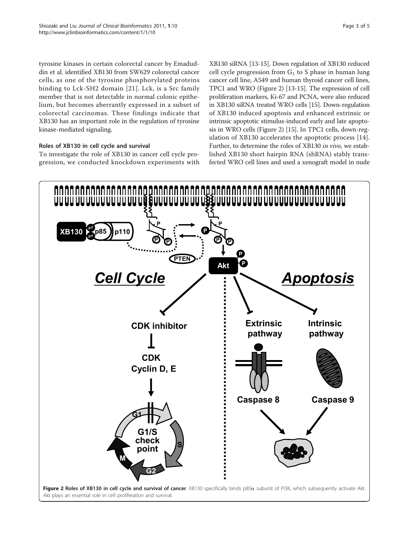<span id="page-2-0"></span>tyrosine kinases in certain colorectal cancer by Emaduddin et al. identified XB130 from SW629 colorectal cancer cells, as one of the tyrosine phosphorylated proteins binding to Lck-SH2 domain [[21](#page-4-0)]. Lck, is a Src family member that is not detectable in normal colonic epithelium, but becomes aberrantly expressed in a subset of colorectal carcinomas. These findings indicate that

# Roles of XB130 in cell cycle and survival

kinase-mediated signaling.

To investigate the role of XB130 in cancer cell cycle progression, we conducted knockdown experiments with

XB130 has an important role in the regulation of tyrosine

XB130 siRNA [\[13-15\]](#page-4-0). Down regulation of XB130 reduced cell cycle progression from  $G_1$  to S phase in human lung cancer cell line, A549 and human thyroid cancer cell lines, TPC1 and WRO (Figure 2) [[13](#page-4-0)-[15](#page-4-0)]. The expression of cell proliferation markers, Ki-67 and PCNA, were also reduced in XB130 siRNA treated WRO cells [\[15\]](#page-4-0). Down-regulation of XB130 induced apoptosis and enhanced extrinsic or intrinsic apoptotic stimulus-induced early and late apoptosis in WRO cells (Figure 2) [\[15](#page-4-0)]. In TPC1 cells, down-regulation of XB130 accelerates the apoptotic process [[14](#page-4-0)]. Further, to determine the roles of XB130 in vivo, we established XB130 short hairpin RNA (shRNA) stably transfected WRO cell lines and used a xenograft model in nude

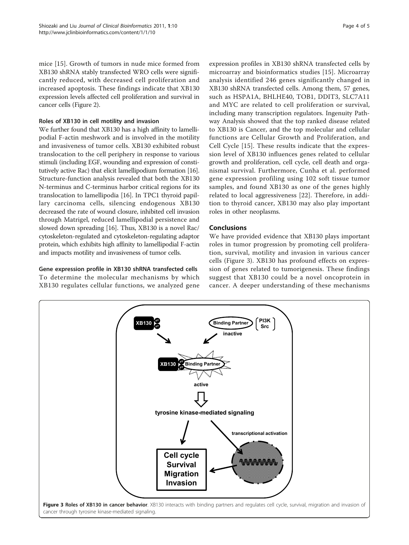mice [[15\]](#page-4-0). Growth of tumors in nude mice formed from XB130 shRNA stably transfected WRO cells were significantly reduced, with decreased cell proliferation and increased apoptosis. These findings indicate that XB130 expression levels affected cell proliferation and survival in cancer cells (Figure [2\)](#page-2-0).

# Roles of XB130 in cell motility and invasion

We further found that XB130 has a high affinity to lamellipodial F-actin meshwork and is involved in the motility and invasiveness of tumor cells. XB130 exhibited robust translocation to the cell periphery in response to various stimuli (including EGF, wounding and expression of constitutively active Rac) that elicit lamellipodium formation [\[16](#page-4-0)]. Structure-function analysis revealed that both the XB130 N-terminus and C-terminus harbor critical regions for its translocation to lamellipodia [\[16\]](#page-4-0). In TPC1 thyroid papillary carcinoma cells, silencing endogenous XB130 decreased the rate of wound closure, inhibited cell invasion through Matrigel, reduced lamellipodial persistence and slowed down spreading [[16](#page-4-0)]. Thus, XB130 is a novel Rac/ cytoskeleton-regulated and cytoskeleton-regulating adaptor protein, which exhibits high affinity to lamellipodial F-actin and impacts motility and invasiveness of tumor cells.

Gene expression profile in XB130 shRNA transfected cells To determine the molecular mechanisms by which XB130 regulates cellular functions, we analyzed gene

expression profiles in XB130 shRNA transfected cells by microarray and bioinformatics studies [[15\]](#page-4-0). Microarray analysis identified 246 genes significantly changed in XB130 shRNA transfected cells. Among them, 57 genes, such as HSPA1A, BHLHE40, TOB1, DDIT3, SLC7A11 and MYC are related to cell proliferation or survival, including many transcription regulators. Ingenuity Pathway Analysis showed that the top ranked disease related to XB130 is Cancer, and the top molecular and cellular functions are Cellular Growth and Proliferation, and Cell Cycle [[15](#page-4-0)]. These results indicate that the expression level of XB130 influences genes related to cellular growth and proliferation, cell cycle, cell death and organismal survival. Furthermore, Cunha et al. performed gene expression profiling using 102 soft tissue tumor samples, and found XB130 as one of the genes highly related to local aggressiveness [[22\]](#page-4-0). Therefore, in addition to thyroid cancer, XB130 may also play important roles in other neoplasms.

**inactive**

**PI3K Src**

We have provided evidence that XB130 plays important roles in tumor progression by promoting cell proliferation, survival, motility and invasion in various cancer cells (Figure 3). XB130 has profound effects on expression of genes related to tumorigenesis. These findings suggest that XB130 could be a novel oncoprotein in cancer. A deeper understanding of these mechanisms



**Binding Partner** 

**active**

**tyrosine kinase-mediated signaling**

**PYSIC Binding Partners** 

**pY XB130**

**pY**